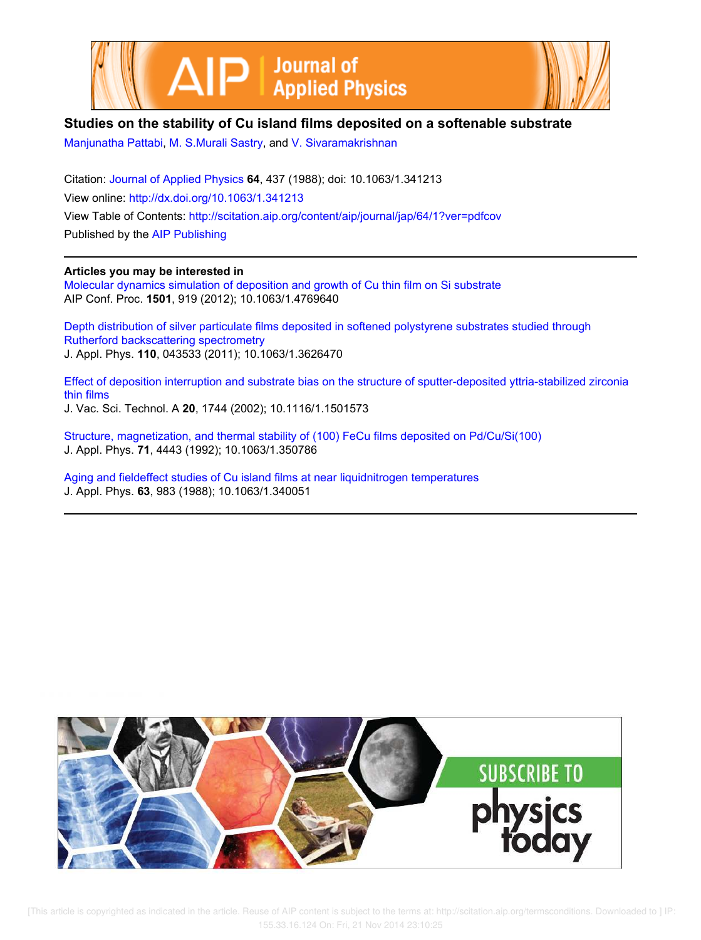



## **Studies on the stability of Cu island films deposited on a softenable substrate**

Manjunatha Pattabi, M. S.Murali Sastry, and V. Sivaramakrishnan

Citation: Journal of Applied Physics **64**, 437 (1988); doi: 10.1063/1.341213 View online: http://dx.doi.org/10.1063/1.341213 View Table of Contents: http://scitation.aip.org/content/aip/journal/jap/64/1?ver=pdfcov Published by the AIP Publishing

### **Articles you may be interested in**

Molecular dynamics simulation of deposition and growth of Cu thin film on Si substrate AIP Conf. Proc. **1501**, 919 (2012); 10.1063/1.4769640

Depth distribution of silver particulate films deposited in softened polystyrene substrates studied through Rutherford backscattering spectrometry J. Appl. Phys. **110**, 043533 (2011); 10.1063/1.3626470

Effect of deposition interruption and substrate bias on the structure of sputter-deposited yttria-stabilized zirconia thin films J. Vac. Sci. Technol. A **20**, 1744 (2002); 10.1116/1.1501573

Structure, magnetization, and thermal stability of (100) FeCu films deposited on Pd/Cu/Si(100) J. Appl. Phys. **71**, 4443 (1992); 10.1063/1.350786

Aging and fieldeffect studies of Cu island films at near liquidnitrogen temperatures J. Appl. Phys. **63**, 983 (1988); 10.1063/1.340051



 [This article is copyrighted as indicated in the article. Reuse of AIP content is subject to the terms at: http://scitation.aip.org/termsconditions. Downloaded to ] IP: 155.33.16.124 On: Fri, 21 Nov 2014 23:10:25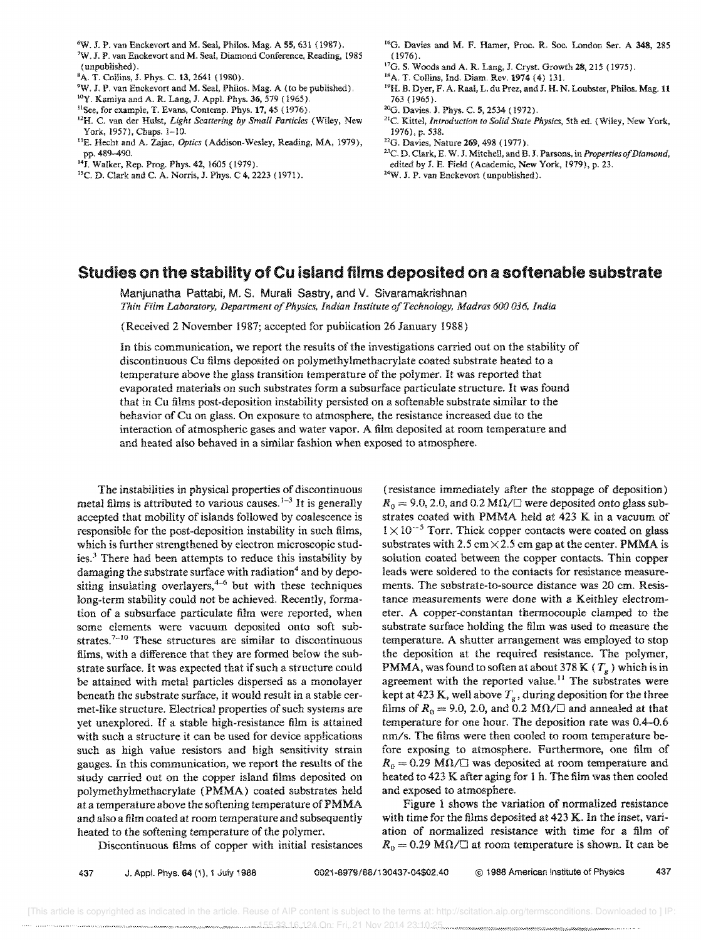- 7W. J. P. van Enckevort and M. Seal, Diamond Conference, Reading, 1985 ( unpublished).
- sA. T. Collins, J. Phys. C. 13. 2641 (1980).
- <sup>9</sup>W. J. P. van Enckevort and M. Seal, Philos. Mag. A (to be published).
- lOy. Kamiya and A. R. Lang. J. Appl. Phys. 36, 579 (1965),
- <sup>11</sup>See, for example, T. Evans, Contemp. Phys. 17, 45 (1976).
- <sup>12</sup>H. C. van der Hulst, *Light Scattering by Small Particles* (Wiley, New York, 1957), Chaps. 1-10.
- <sup>13</sup>E. Hecht and A. Zajac, *Optics* (Addison-Wesley, Reading, MA, 1979), pp. 489-490.
- 14J. Walker, Rep. Prog. Phys.42, 1605 (1979).
- 15C. D. Clark. and C. A. Norris, J. Phys. C 4,2223 (1971).
- <sup>16</sup>G. Davies and M. F. Hamer, Proc. R. Soc. London Ser. A 348, 285  $(1976).$
- I7G. S. Woods and A. R. Lang, J. Cryst. Growth 28, 213 (1975),
- <sup>18</sup>A. T. Collins, Ind. Diam. Rev. 1974 (4) 131.
- <sup>19</sup>H. B. Dyer, F. A. Raal, L. du Prez, and J. H. N. Loubster, Philos. Mag. 11 763 (1965).
- 20G. Davies. J. Phys. C. 5, 2534 (1972).
- >lC. Kittel. *Introduction to Solid State Physics,* 5th ed. (Wiley, New York, 1976), p. 538.
- 22G. Davies, Nature 269,498 (1977).
- <sup>23</sup>C. D. Clark, E. W. J. Mitchell, and B. J. Parsons, in *Properties of Diamond*, edited by J. E. Field (Academic. New York, 1979), p. 23.
- 24W. J. P. van Enckevort (unpublished).

### **Studies on the stability of Cu island films deposited on a softenable substrate**

Manjunatha Pattabi, M. S. Muraii Sastry, and V. Sivaramakrishnan *Thin Film Laboratory, Department of Physics, Indian Institute of Technology, Madras 600036, India* 

(Received 2 November 1987; accepted for publication 26 January 1988)

In this communication, we report the results of the investigations carried out on the stability of discontinuous Cu films deposited on polymethylmethacrylate coated substrate heated to a temperature above the glass transition temperature of the polymer. It was reported that evaporated materials on such substrates form a subsurface particulate structure. It was found that in Cu films post-deposition instability persisted on a softenable substrate similar to the behavior of Cu on glass. On exposure to atmosphere, the resistance increased due to the interaction of atmospheric gases and water vapor. A film deposited at room temperature and and heated also behaved in a similar fashion when exposed to atmosphere.

The instabilities in physical properties of discontinuous metal films is attributed to various causes.<sup> $1-3$ </sup> It is generally accepted that mobility of islands followed by coalescence is responsible for the post-deposition instability in such films, which is further strengthened by electron microscopic studies.<sup>3</sup> There had been attempts to reduce this instability by damaging the substrate surface with radiation<sup>4</sup> and by depositing insulating overlayers, $4-6$  but with these techniques long-term stability could not be achieved. Recently, formation of a subsurface particulate film were reported, when some elements were vacuum deposited onto soft substrates.<sup> $7-10$ </sup> These structures are similar to discontinuous films, with a difference that they are formed below the substrate surface. It was expected that if such a structure could be attained with metal particles dispersed as a monolayer beneath the substrate surface, it would result in a stable cermet-like structure. Electrical properties of such systems are yet unexplored. If a stable high-resistance film is attained with such a structure it can be used for device applications such as high value resistors and high sensitivity strain gauges. In this communication, we report the results of the study carried out on the copper island films deposited on polymethylmethacrylate (PMMA) coated substrates held at a temperature above the softening temperature ofPMMA and also a film coated at room temperature and subsequently heated to the softening temperature of the polymer.

Discontinuous films of copper with initial resistances

(resistance immediately after the stoppage of deposition)  $R_0 = 9.0, 2.0,$  and 0.2 M $\Omega / \square$  were deposited onto glass substrates coated with PMMA held at 423 K in a vacuum of  $1 \times 10^{-5}$  Torr. Thick copper contacts were coated on glass substrates with 2.5 cm  $\times$  2.5 cm gap at the center. PMMA is solution coated between the copper contacts. Thin copper leads were soldered to the contacts for resistance measurements. The substrate-to-source distance was 20 em. Resistance measurements were done with a Keithley electrometer. A copper-constantan thermocouple clamped to the substrate surface holding the film was used to measure the temperature. A shutter arrangement was employed to stop the deposition at the required resistance. The polymer, PMMA, was found to soften at about 378 K ( $T<sub>g</sub>$ ) which is in agreement with the reported value.<sup>11</sup> The substrates were kept at 423 K, well above  $T_g$ , during deposition for the three films of  $R_0 = 9.0$ , 2.0, and 0.2 M $\Omega / \square$  and annealed at that temperature for one hour. The deposition rate was 0.4-0.6 nm/s. The films were then cooled to room temperature before exposing to atmosphere. Furthermore, one film of  $R_0 = 0.29 \text{ M}\Omega/\square$  was deposited at room temperature and heated to 423 K after aging for 1 h. The film was then cooled and exposed to atmosphere.

Figure 1 shows the variation of normalized resistance with time for the films deposited at 423 K. In the inset, variation of normalized resistance with time for a film of  $R_0 = 0.29 \text{ M}\Omega/\square$  at room temperature is shown. It can be

<sup>6</sup>W. J. P. van Enckevort and M. Seal, Phiios. Mag. A 55, 631 (l987).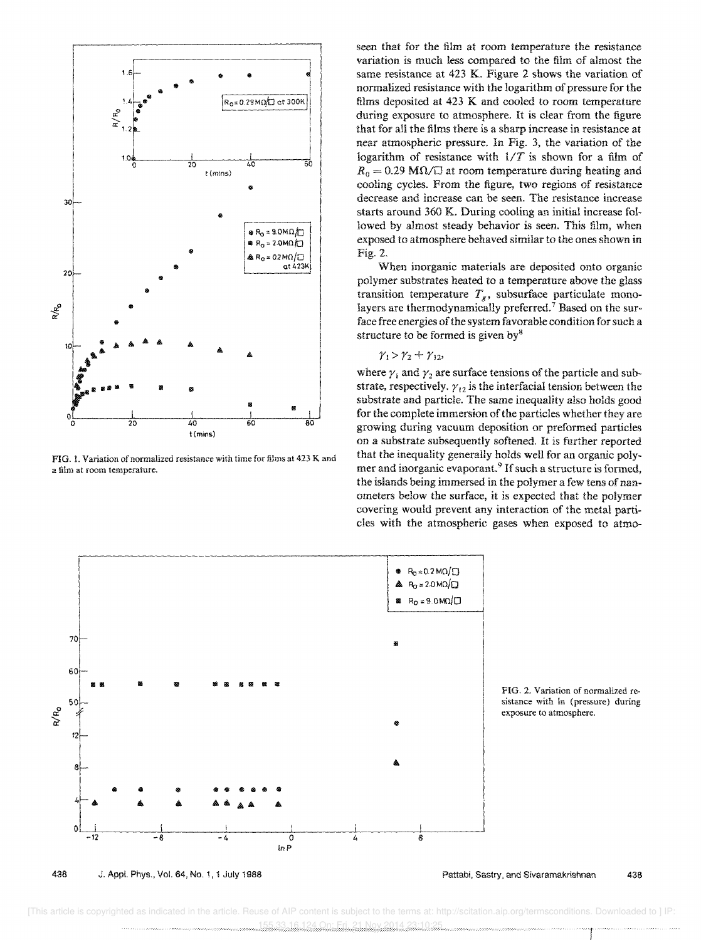

FIG. 1. Variation of normalized resistance with time for films at 423 K and a film at room temperature.

seen that for the film at room temperature the resistance variation is much less compared to the film of almost the same resistance at 423 K. Figure 2 shows the variation of normalized resistance with the logarithm of pressure for the films deposited at 423 K and cooled to room temperature during exposure to atmosphere. It is clear from the figure that for all the films there is a sharp increase in resistance at near atmospheric pressure. In Fig. 3, the variation of the logarithm of resistance with  $1/T$  is shown for a film of  $R_0 = 0.29$  M $\Omega$ / $\Box$  at room temperature during heating and cooling cycles. From the figure, two regions of resistance decrease and increase can be seen. The resistance increase starts around 360 K. During cooling an initial increase followed by almost steady behavior is seen. This film, when exposed to atmosphere behaved similar to the ones shown in Fig. 2.

When inorganic materials are deposited onto organic polymer substrates heated to a temperature above the glass transition temperature  $T_g$ , subsurface particulate monolayers are thermodynamically preferred.<sup>7</sup> Based on the surface free energies of the system favorable condition for such a structure to be formed is given by $8$ 

#### $\gamma_1 > \gamma_2 + \gamma_{12}$

where  $\gamma_1$  and  $\gamma_2$  are surface tensions of the particle and substrate, respectively.  $\gamma_{12}$  is the interfacial tension between the substrate and particle. The same inequality also holds good for the complete immersion of the particles whether they are growing during vacuum deposition or preformed particles on a substrate subsequently softened. It is further reported that the inequality generally holds well for an organic polymer and inorganic evaporant.<sup>9</sup> If such a structure is formed, the islands being immersed in the polymer a few tens of nanometers below the surface, it is expected that the polymer covering would prevent any interaction of the metal partides with the atmospheric gases when exposed to atmo-



FIG. 2. Variation of normalized resistance with In (pressure) during exposure to atmosphere.

 [This article is copyrighted as indicated in the article. Reuse of AIP content is subject to the terms at: http://scitation.aip.org/termsconditions. Downloaded to ] IP: 155.33.16.124 On: Fri, 21 Nov 2014 23:10:25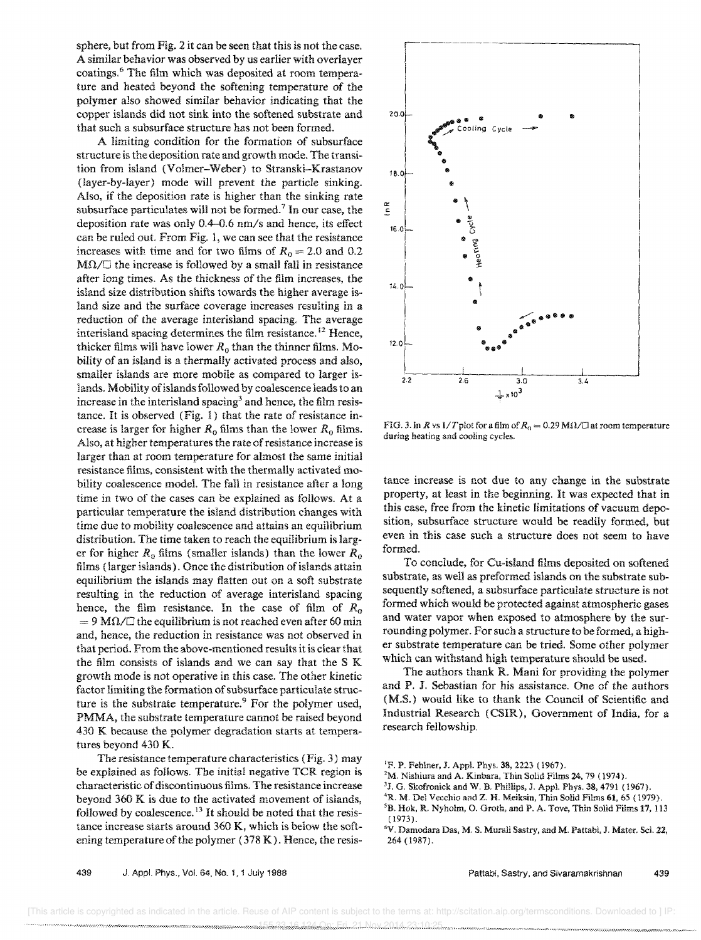sphere, but from Fig. 2 it can be seen that this is not the case. A similar behavior was observed by us earlier with overlayer coatings.<sup>6</sup> The film which was deposited at room temperature and heated beyond the softening temperature of the polymer also showed similar behavior indicating that the copper islands did not sink into the softened substrate and that such a subsurface structure has not been formed.

A limiting condition for the formation of subsurface structure is the deposition rate and growth mode. The transition from island (Volmer-Weber) to Stranski-Krastanov (layer-by-Iayer) mode will prevent the particle sinking. Also, if the deposition rate is higher than the sinking rate subsurface particulates will not be formed.<sup> $7$ </sup> In our case, the deposition rate was only  $0.4-0.6$  nm/s and hence, its effect can be ruled out. From Fig. 1, we can see that the resistance increases with time and for two films of  $R_0 = 2.0$  and 0.2  $M\Omega/\square$  the increase is followed by a small fall in resistance after long times. As the thickness of the film increases, the island size distribution shifts towards the higher average island size and the surface coverage increases resulting in a reduction of the average interisland spacing. The average interisland spacing determines the film resistance. 12 Hence, thicker films will have lower  $R_0$  than the thinner films. Mobility of an island is a thermally activated process and also, smaller islands are more mobile as compared to larger islands. Mobility of islands followed by coalescence leads to an increase in the interisland spacing<sup>3</sup> and hence, the film resistance. It is observed (Fig. 1) that the rate of resistance increase is larger for higher  $R_0$  films than the lower  $R_0$  films. Also, at higher temperatures the rate of resistance increase is larger than at room temperature for almost the same initial resistance films, consistent with the thermally activated mobility coalescence model. The fall in resistance after a long time in two of the cases can be explained as follows. At a particular temperature the island distribution changes with time due to mobility coalescence and attains an equilibrium distribution. The time taken to reach the equilibrium is larger for higher  $R_0$  films (smaller islands) than the lower  $R_0$ films (larger islands). Once the distribution of islands attain equilibrium the islands may flatten out on a soft substrate resulting in the reduction of average interisland spacing hence, the film resistance. In the case of film of  $R_0$  $= 9$  M $\Omega$ / $\Box$  the equilibrium is not reached even after 60 min and, hence, the reduction in resistance was not observed in that period. From the above-mentioned results it is clear that the film consists of islands and we can say that the S K growth mode is not operative in this case. The other kinetic factor limiting the formation of subsurface particulate structure is the substrate temperature.<sup>9</sup> For the polymer used, PMMA, the substrate temperature cannot be raised beyond 430 K because the polymer degradation starts at temperatures beyond 430 K.

The resistance temperature characteristics (Fig. 3) may be explained as follows. The initial negative TCR region is characteristic of discontinuous films. The resistance increase beyond 360 K is due to the activated movement of islands, followed by coalescence.<sup>13</sup> It should be noted that the resistance increase starts around 360 K, which is below the softening temperature of the polymer  $(378 \text{ K})$ . Hence, the resis-



FIG. 3. In *R* vs 1/T plot for a film of  $R_0 = 0.29$  M $\Omega$ / $\Box$  at room temperature during heating and cooling cycles.

tance increase is not due to any change in the substrate property, at least in the beginning. It was expected that in this case, free from the kinetic limitations of vacuum deposition, subsurface structure would be readily formed, but even in this case such a structure does not seem to have formed.

To conclude, for Cu-island films deposited on softened substrate, as well as preformed islands on the substrate subsequently softened, a subsurface particulate structure is not formed which would be protected against atmospheric gases and water vapor when exposed to atmosphere by the surrounding polymer. For such a structure to be formed, a higher substrate temperature can be tried. Some other polymer which can withstand high temperature should be used.

The authors thank R. Mani for providing the polymer and P. J. Sebastian for his assistance. One of the authors (M.S.) would like to thank the Council of Scientific and Industrial Research (CSIR), Government of India, for a research fellowship.

439 J. Appl. Phys., Vol. 64, No.1, 1 July 1988

<sup>&#</sup>x27;F. P. Fehlner, J. Appl. Phys. 38,2223 (1967).

<sup>2</sup>M. Nishiura and A. Kinbara, Thin Solid Films 24, 79 (1974).

<sup>3</sup>J. G. Skofronick and W. B. Phillips, J. App!. Phys. 38, 4791 (1967).

<sup>&#</sup>x27;R. M. Del Vecchio and Z. H. Meiksin, Thin Solid Films 61,65 (1979).

<sup>&</sup>lt;sup>5</sup>B. Hok, R. Nyholm, O. Groth, and P. A. Tove, Thin Solid Films 17, 113  $(1973)$ .

<sup>&</sup>quot;V. Damodara Das, M. S. Murali Sastry, and M. Pattabi, J. Mater. Sci. 22, 264 (1987).